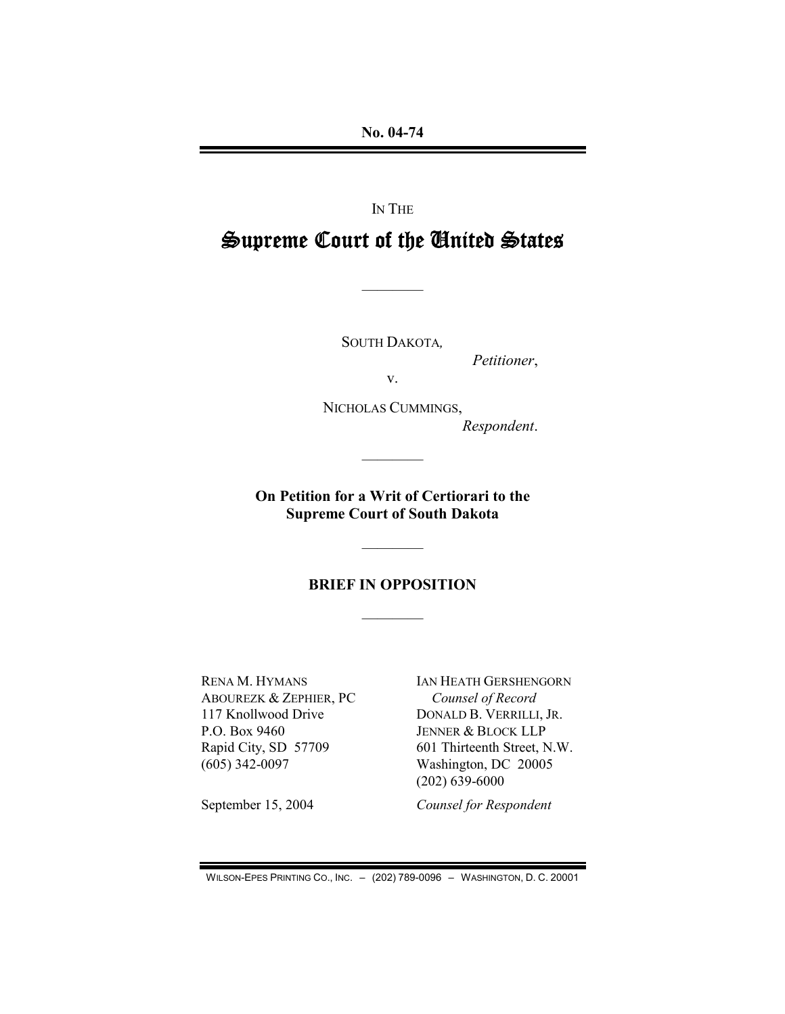**No. 04-74**

IN THE

# **Supreme Court of the United States**

————

SOUTH DAKOTA*,*

*Petitioner*,

v.

NICHOLAS CUMMINGS, *Respondent*.

**On Petition for a Writ of Certiorari to the Supreme Court of South Dakota**

————

### **BRIEF IN OPPOSITION**

————

————

RENA M. HYMANS ABOUREZK & ZEPHIER, PC 117 Knollwood Drive P.O. Box 9460 Rapid City, SD 57709 (605) 342-0097

September 15, 2004

IAN HEATH GERSHENGORN *Counsel of Record* DONALD B. VERRILLI, JR. JENNER & BLOCK LLP 601 Thirteenth Street, N.W. Washington, DC 20005 (202) 639-6000

*Counsel for Respondent*

WILSON-EPES PRINTING CO., INC. – (202) 789-0096 – WASHINGTON, D. C. 20001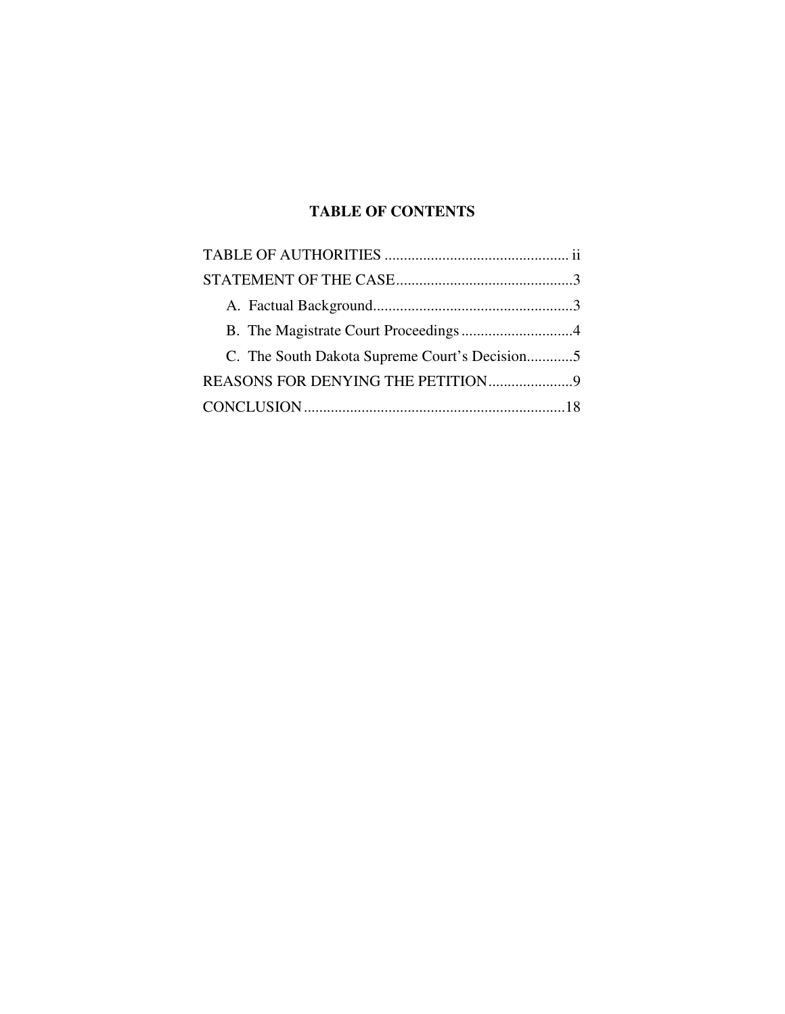## **TABLE OF CONTENTS**

| C. The South Dakota Supreme Court's Decision5 |  |
|-----------------------------------------------|--|
|                                               |  |
|                                               |  |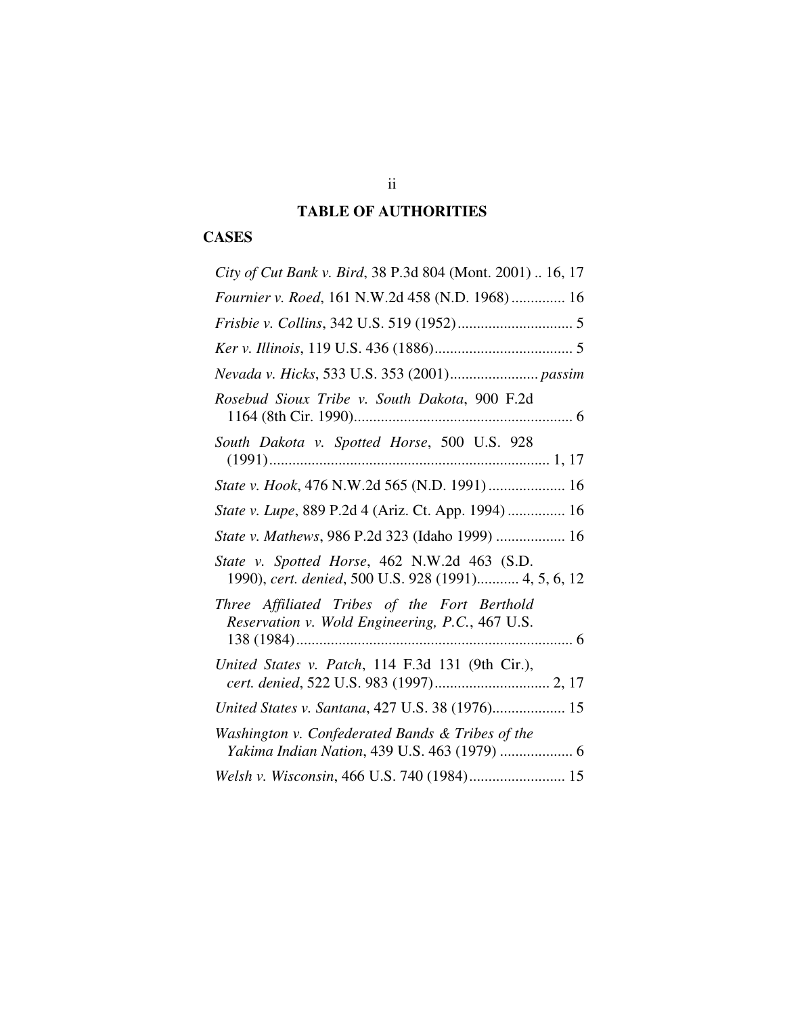## **TABLE OF AUTHORITIES**

## **CASES**

| City of Cut Bank v. Bird, 38 P.3d 804 (Mont. 2001)  16, 17                                           |
|------------------------------------------------------------------------------------------------------|
| Fournier v. Roed, 161 N.W.2d 458 (N.D. 1968) 16                                                      |
|                                                                                                      |
|                                                                                                      |
| Nevada v. Hicks, 533 U.S. 353 (2001) passim                                                          |
| Rosebud Sioux Tribe v. South Dakota, 900 F.2d                                                        |
| South Dakota v. Spotted Horse, 500 U.S. 928                                                          |
| State v. Hook, 476 N.W.2d 565 (N.D. 1991)  16                                                        |
| State v. Lupe, 889 P.2d 4 (Ariz. Ct. App. 1994)  16                                                  |
| State v. Mathews, 986 P.2d 323 (Idaho 1999)  16                                                      |
| State v. Spotted Horse, 462 N.W.2d 463 (S.D.<br>1990), cert. denied, 500 U.S. 928 (1991) 4, 5, 6, 12 |
| Three Affiliated Tribes of the Fort Berthold<br>Reservation v. Wold Engineering, P.C., 467 U.S.      |
| United States v. Patch, 114 F.3d 131 (9th Cir.),                                                     |
| United States v. Santana, 427 U.S. 38 (1976) 15                                                      |
| Washington v. Confederated Bands & Tribes of the<br>Yakima Indian Nation, 439 U.S. 463 (1979)  6     |
| Welsh v. Wisconsin, 466 U.S. 740 (1984) 15                                                           |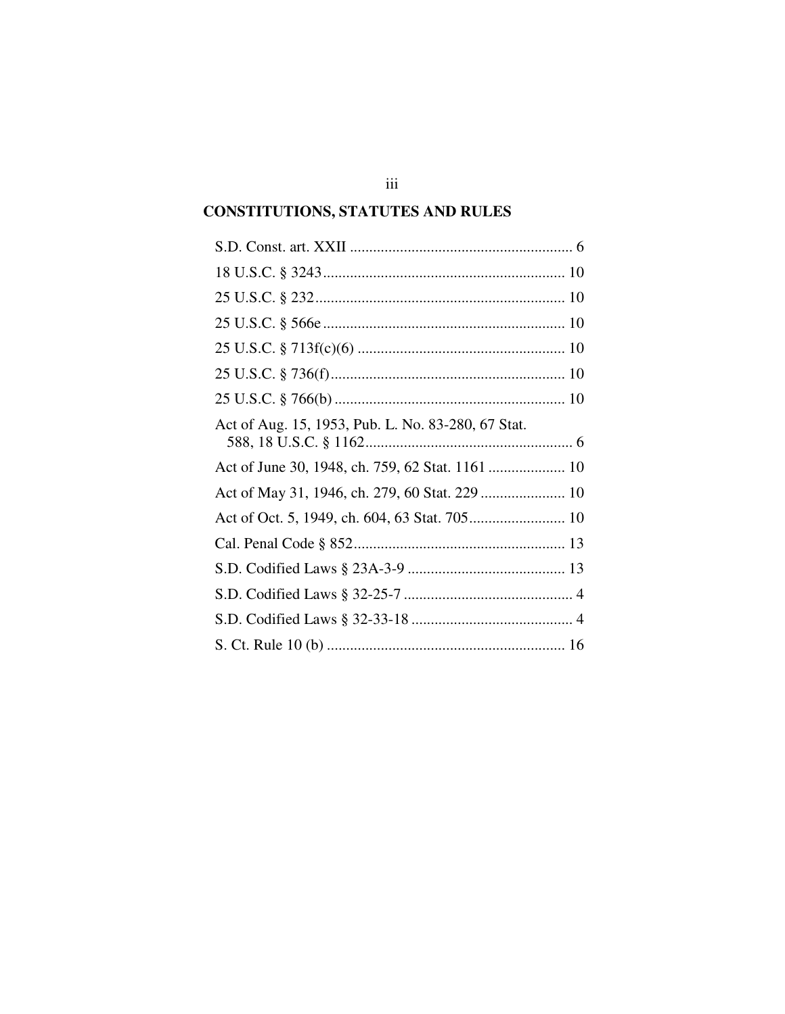## **CONSTITUTIONS, STATUTES AND RULES**

| Act of Aug. 15, 1953, Pub. L. No. 83-280, 67 Stat. |
|----------------------------------------------------|
| Act of June 30, 1948, ch. 759, 62 Stat. 1161  10   |
|                                                    |
|                                                    |
|                                                    |
|                                                    |
|                                                    |
|                                                    |
|                                                    |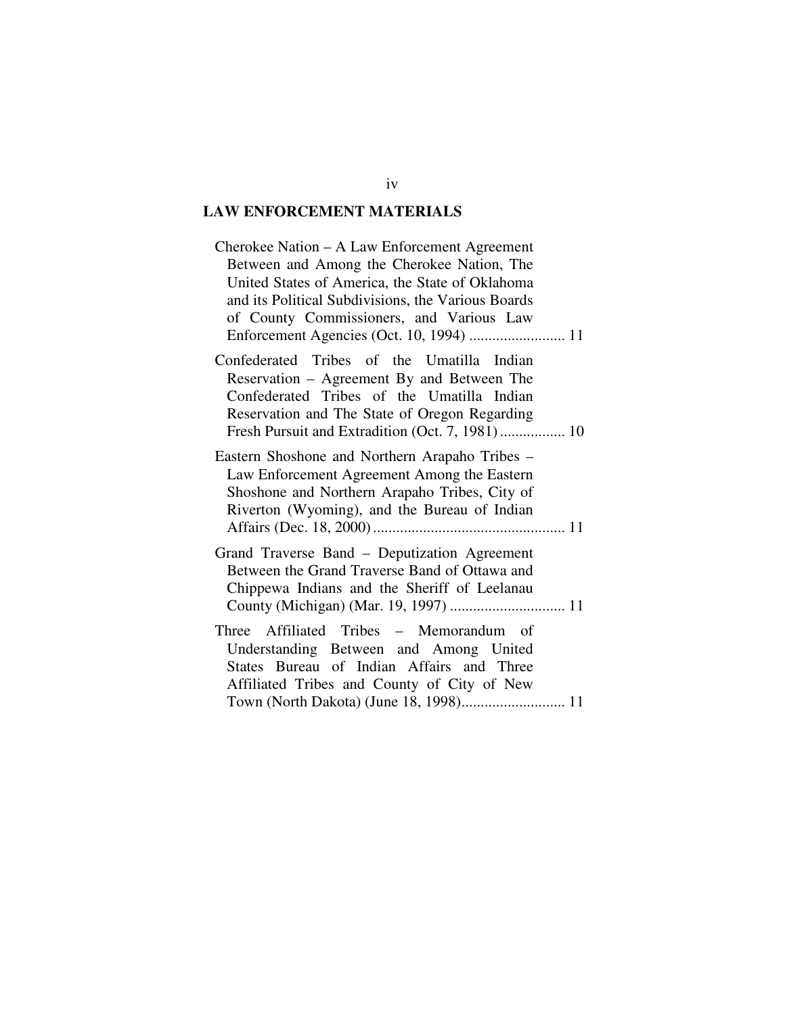## **LAW ENFORCEMENT MATERIALS**

| Cherokee Nation - A Law Enforcement Agreement<br>Between and Among the Cherokee Nation, The<br>United States of America, the State of Oklahoma<br>and its Political Subdivisions, the Various Boards<br>of County Commissioners, and Various Law |
|--------------------------------------------------------------------------------------------------------------------------------------------------------------------------------------------------------------------------------------------------|
| Confederated Tribes of the Umatilla Indian<br>Reservation - Agreement By and Between The<br>Confederated Tribes of the Umatilla Indian<br>Reservation and The State of Oregon Regarding<br>Fresh Pursuit and Extradition (Oct. 7, 1981) 10       |
| Eastern Shoshone and Northern Arapaho Tribes –<br>Law Enforcement Agreement Among the Eastern<br>Shoshone and Northern Arapaho Tribes, City of<br>Riverton (Wyoming), and the Bureau of Indian                                                   |
| Grand Traverse Band – Deputization Agreement<br>Between the Grand Traverse Band of Ottawa and<br>Chippewa Indians and the Sheriff of Leelanau                                                                                                    |
| Three Affiliated Tribes – Memorandum of<br>Understanding Between and Among United<br>States Bureau of Indian Affairs and Three<br>Affiliated Tribes and County of City of New                                                                    |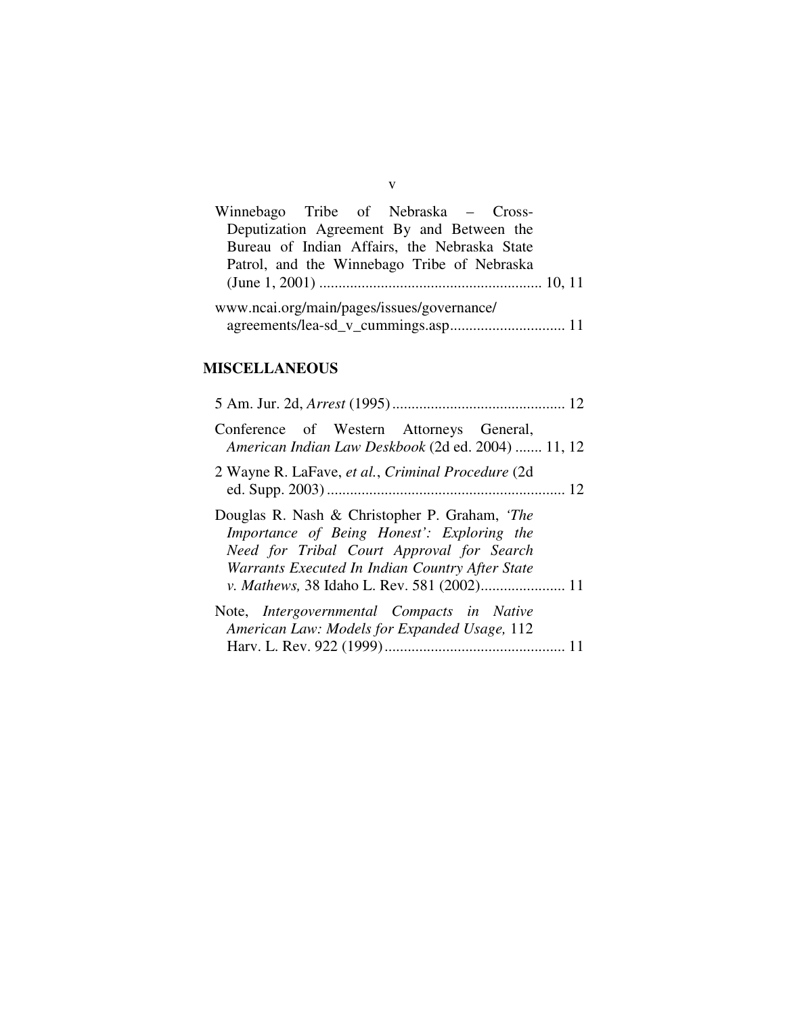| Winnebago Tribe of Nebraska – Cross-         |  |  |  |  |
|----------------------------------------------|--|--|--|--|
| Deputization Agreement By and Between the    |  |  |  |  |
| Bureau of Indian Affairs, the Nebraska State |  |  |  |  |
| Patrol, and the Winnebago Tribe of Nebraska  |  |  |  |  |
|                                              |  |  |  |  |
| www.ncai.org/main/pages/issues/governance/   |  |  |  |  |
|                                              |  |  |  |  |

v

## **MISCELLANEOUS**

| Conference of Western Attorneys General,<br>American Indian Law Deskbook (2d ed. 2004)  11, 12                                                                                              |
|---------------------------------------------------------------------------------------------------------------------------------------------------------------------------------------------|
| 2 Wayne R. LaFave, et al., Criminal Procedure (2d)                                                                                                                                          |
| Douglas R. Nash & Christopher P. Graham, 'The<br>Importance of Being Honest': Exploring the<br>Need for Tribal Court Approval for Search<br>Warrants Executed In Indian Country After State |
| Note, Intergovernmental Compacts in Native<br>American Law: Models for Expanded Usage, 112                                                                                                  |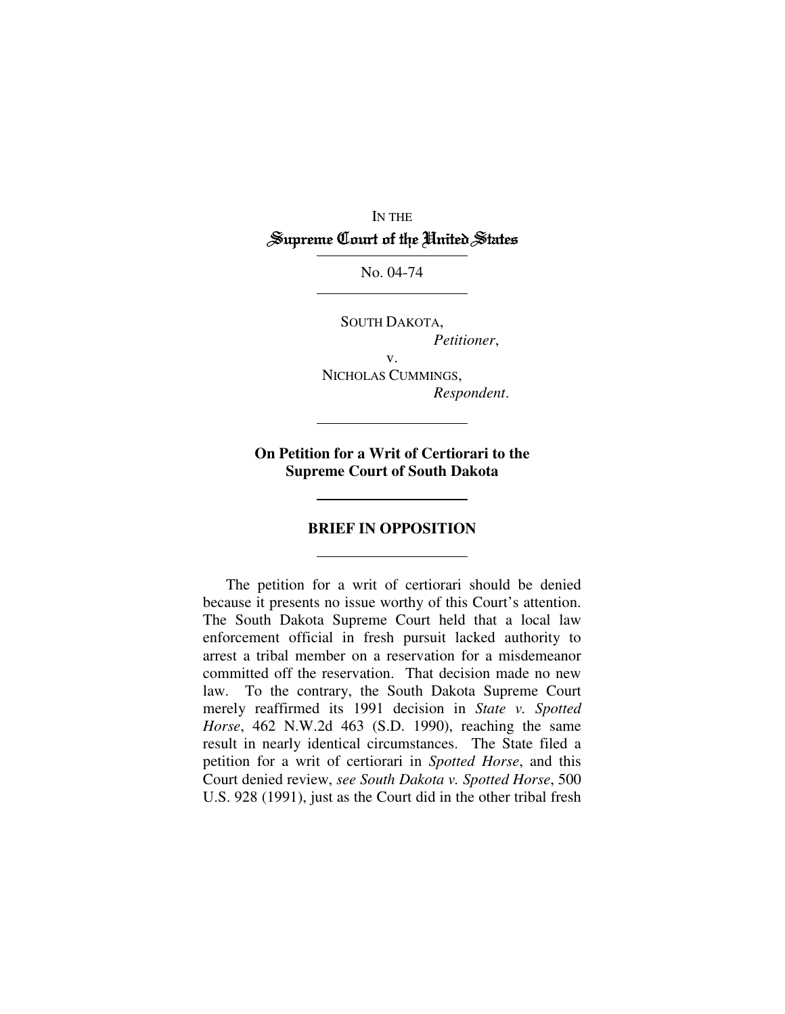## IN THE Supreme Court of the United States

No. 04-74

SOUTH DAKOTA,

*Petitioner*,

v. NICHOLAS CUMMINGS, *Respondent*.

**On Petition for a Writ of Certiorari to the Supreme Court of South Dakota**

### **BRIEF IN OPPOSITION**

The petition for a writ of certiorari should be denied because it presents no issue worthy of this Court's attention. The South Dakota Supreme Court held that a local law enforcement official in fresh pursuit lacked authority to arrest a tribal member on a reservation for a misdemeanor committed off the reservation. That decision made no new law. To the contrary, the South Dakota Supreme Court merely reaffirmed its 1991 decision in *State v. Spotted Horse*, 462 N.W.2d 463 (S.D. 1990), reaching the same result in nearly identical circumstances. The State filed a petition for a writ of certiorari in *Spotted Horse*, and this Court denied review, *see South Dakota v. Spotted Horse*, 500 U.S. 928 (1991), just as the Court did in the other tribal fresh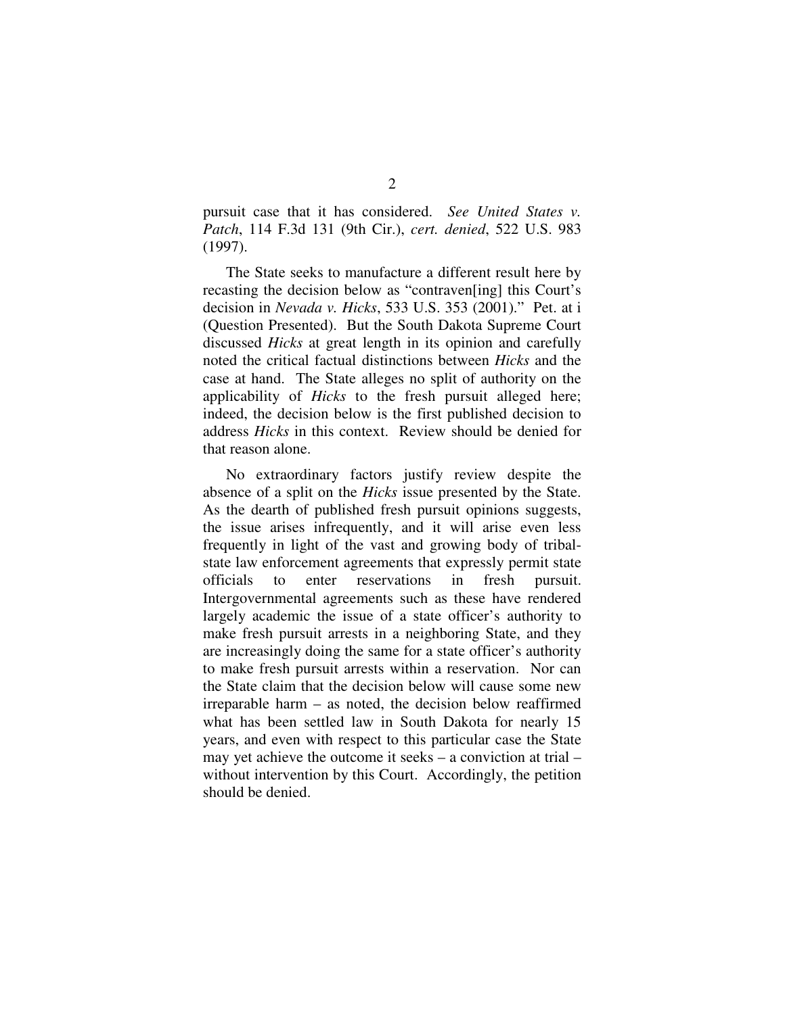pursuit case that it has considered. *See United States v. Patch*, 114 F.3d 131 (9th Cir.), *cert. denied*, 522 U.S. 983 (1997).

The State seeks to manufacture a different result here by recasting the decision below as "contraven[ing] this Court's decision in *Nevada v. Hicks*, 533 U.S. 353 (2001)." Pet. at i (Question Presented). But the South Dakota Supreme Court discussed *Hicks* at great length in its opinion and carefully noted the critical factual distinctions between *Hicks* and the case at hand. The State alleges no split of authority on the applicability of *Hicks* to the fresh pursuit alleged here; indeed, the decision below is the first published decision to address *Hicks* in this context. Review should be denied for that reason alone.

No extraordinary factors justify review despite the absence of a split on the *Hicks* issue presented by the State. As the dearth of published fresh pursuit opinions suggests, the issue arises infrequently, and it will arise even less frequently in light of the vast and growing body of tribalstate law enforcement agreements that expressly permit state officials to enter reservations in fresh pursuit. Intergovernmental agreements such as these have rendered largely academic the issue of a state officer's authority to make fresh pursuit arrests in a neighboring State, and they are increasingly doing the same for a state officer's authority to make fresh pursuit arrests within a reservation. Nor can the State claim that the decision below will cause some new irreparable harm – as noted, the decision below reaffirmed what has been settled law in South Dakota for nearly 15 years, and even with respect to this particular case the State may yet achieve the outcome it seeks – a conviction at trial – without intervention by this Court. Accordingly, the petition should be denied.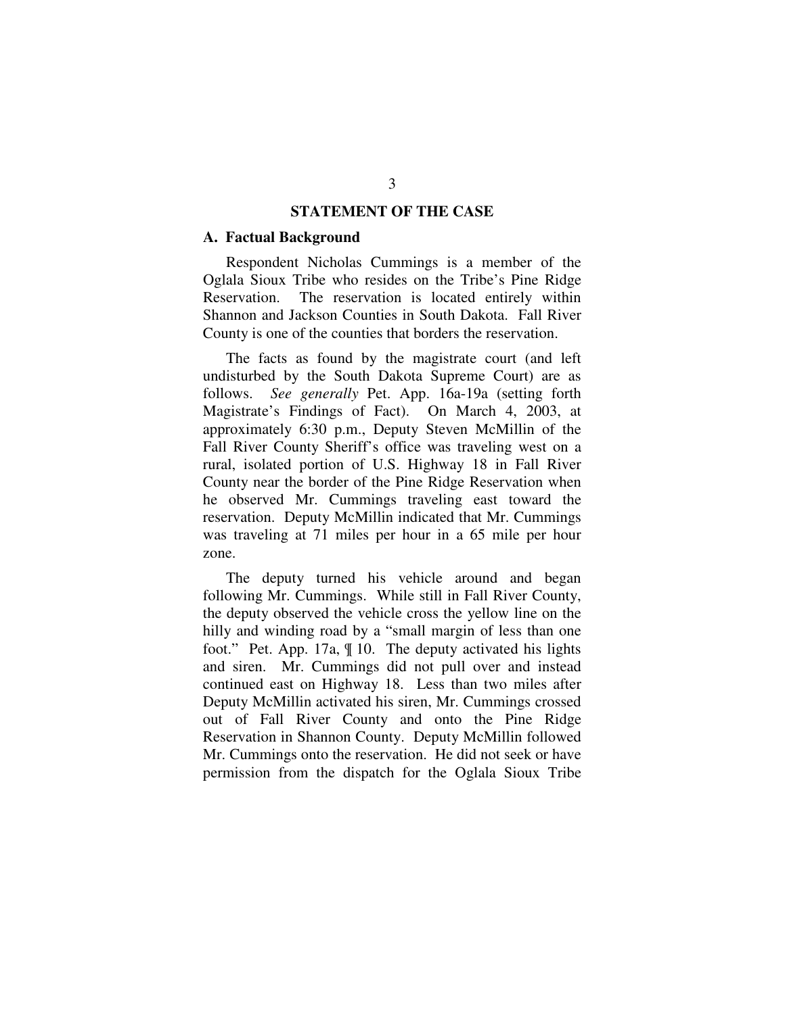### **STATEMENT OF THE CASE**

#### **A. Factual Background**

Respondent Nicholas Cummings is a member of the Oglala Sioux Tribe who resides on the Tribe's Pine Ridge Reservation. The reservation is located entirely within Shannon and Jackson Counties in South Dakota. Fall River County is one of the counties that borders the reservation.

The facts as found by the magistrate court (and left undisturbed by the South Dakota Supreme Court) are as follows. *See generally* Pet. App. 16a-19a (setting forth Magistrate's Findings of Fact). On March 4, 2003, at approximately 6:30 p.m., Deputy Steven McMillin of the Fall River County Sheriff's office was traveling west on a rural, isolated portion of U.S. Highway 18 in Fall River County near the border of the Pine Ridge Reservation when he observed Mr. Cummings traveling east toward the reservation. Deputy McMillin indicated that Mr. Cummings was traveling at 71 miles per hour in a 65 mile per hour zone.

The deputy turned his vehicle around and began following Mr. Cummings. While still in Fall River County, the deputy observed the vehicle cross the yellow line on the hilly and winding road by a "small margin of less than one foot." Pet. App. 17a, ¶ 10. The deputy activated his lights and siren. Mr. Cummings did not pull over and instead continued east on Highway 18. Less than two miles after Deputy McMillin activated his siren, Mr. Cummings crossed out of Fall River County and onto the Pine Ridge Reservation in Shannon County. Deputy McMillin followed Mr. Cummings onto the reservation. He did not seek or have permission from the dispatch for the Oglala Sioux Tribe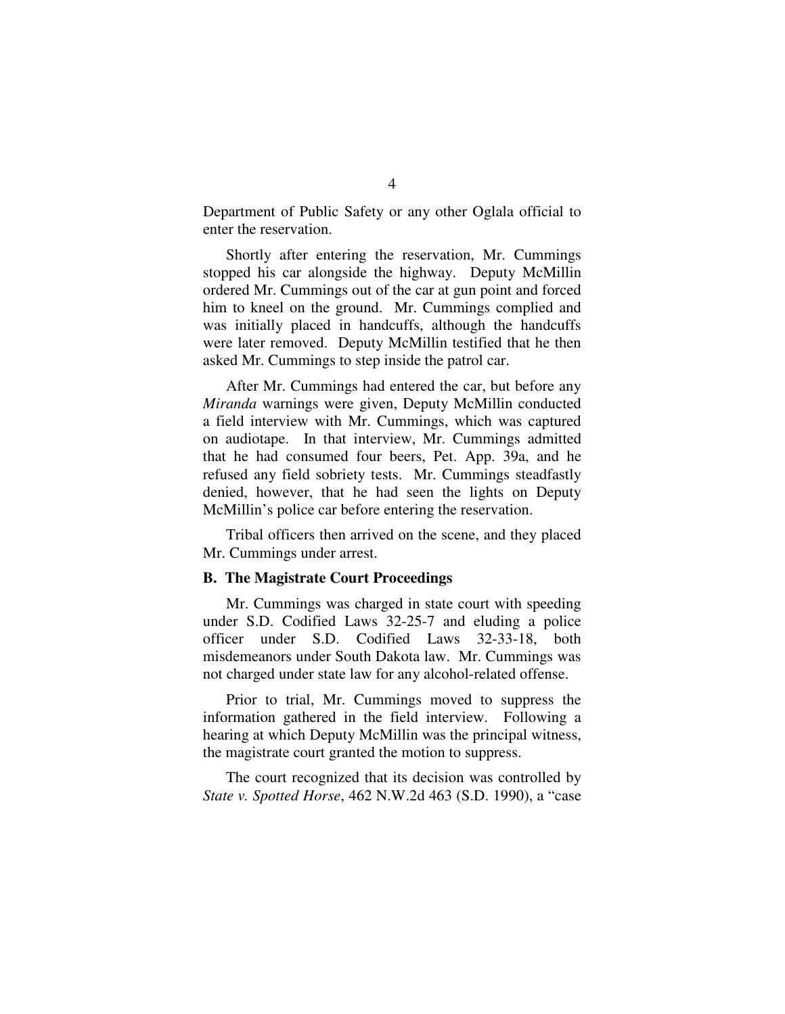Department of Public Safety or any other Oglala official to enter the reservation.

Shortly after entering the reservation, Mr. Cummings stopped his car alongside the highway. Deputy McMillin ordered Mr. Cummings out of the car at gun point and forced him to kneel on the ground. Mr. Cummings complied and was initially placed in handcuffs, although the handcuffs were later removed. Deputy McMillin testified that he then asked Mr. Cummings to step inside the patrol car.

After Mr. Cummings had entered the car, but before any *Miranda* warnings were given, Deputy McMillin conducted a field interview with Mr. Cummings, which was captured on audiotape. In that interview, Mr. Cummings admitted that he had consumed four beers, Pet. App. 39a, and he refused any field sobriety tests. Mr. Cummings steadfastly denied, however, that he had seen the lights on Deputy McMillin's police car before entering the reservation.

Tribal officers then arrived on the scene, and they placed Mr. Cummings under arrest.

### **B. The Magistrate Court Proceedings**

Mr. Cummings was charged in state court with speeding under S.D. Codified Laws 32-25-7 and eluding a police officer under S.D. Codified Laws 32-33-18, both misdemeanors under South Dakota law. Mr. Cummings was not charged under state law for any alcohol-related offense.

Prior to trial, Mr. Cummings moved to suppress the information gathered in the field interview. Following a hearing at which Deputy McMillin was the principal witness, the magistrate court granted the motion to suppress.

The court recognized that its decision was controlled by *State v. Spotted Horse*, 462 N.W.2d 463 (S.D. 1990), a "case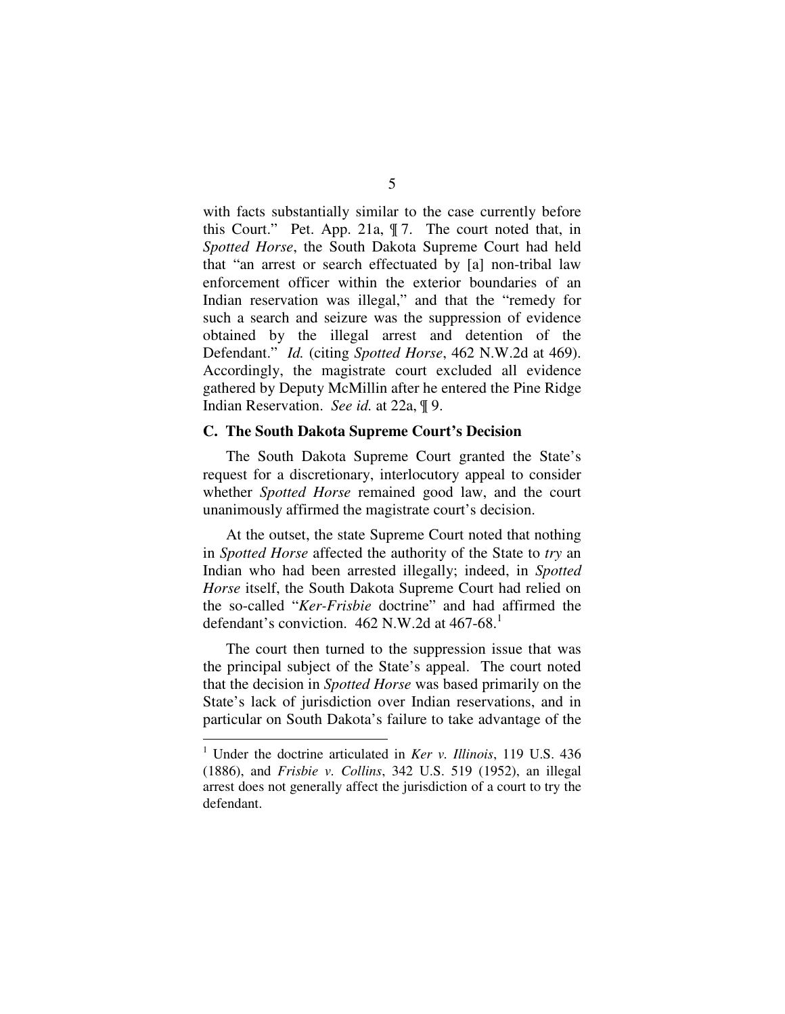with facts substantially similar to the case currently before this Court." Pet. App. 21a, ¶ 7. The court noted that, in *Spotted Horse*, the South Dakota Supreme Court had held that "an arrest or search effectuated by [a] non-tribal law enforcement officer within the exterior boundaries of an Indian reservation was illegal," and that the "remedy for such a search and seizure was the suppression of evidence obtained by the illegal arrest and detention of the Defendant." *Id.* (citing *Spotted Horse*, 462 N.W.2d at 469). Accordingly, the magistrate court excluded all evidence gathered by Deputy McMillin after he entered the Pine Ridge Indian Reservation. *See id.* at 22a, ¶ 9.

#### **C. The South Dakota Supreme Court's Decision**

The South Dakota Supreme Court granted the State's request for a discretionary, interlocutory appeal to consider whether *Spotted Horse* remained good law, and the court unanimously affirmed the magistrate court's decision.

At the outset, the state Supreme Court noted that nothing in *Spotted Horse* affected the authority of the State to *try* an Indian who had been arrested illegally; indeed, in *Spotted Horse* itself, the South Dakota Supreme Court had relied on the so-called "*Ker-Frisbie* doctrine" and had affirmed the defendant's conviction.  $462$  N.W.2d at  $467-68$ <sup>1</sup>

The court then turned to the suppression issue that was the principal subject of the State's appeal. The court noted that the decision in *Spotted Horse* was based primarily on the State's lack of jurisdiction over Indian reservations, and in particular on South Dakota's failure to take advantage of the

<sup>1</sup> Under the doctrine articulated in *Ker v. Illinois*, 119 U.S. 436 (1886), and *Frisbie v. Collins*, 342 U.S. 519 (1952), an illegal arrest does not generally affect the jurisdiction of a court to try the defendant.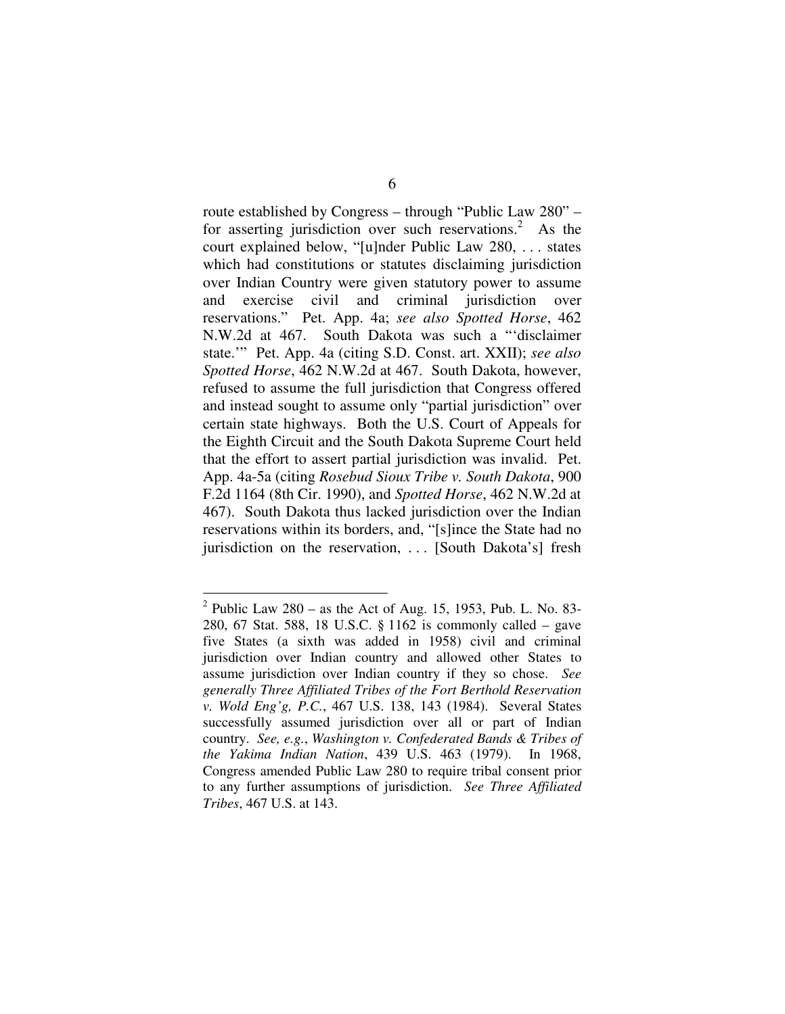route established by Congress – through "Public Law 280" – for asserting jurisdiction over such reservations.<sup>2</sup> As the court explained below, "[u]nder Public Law 280, . . . states which had constitutions or statutes disclaiming jurisdiction over Indian Country were given statutory power to assume and exercise civil and criminal jurisdiction over reservations." Pet. App. 4a; *see also Spotted Horse*, 462 N.W.2d at 467. South Dakota was such a "'disclaimer state.'" Pet. App. 4a (citing S.D. Const. art. XXII); *see also Spotted Horse*, 462 N.W.2d at 467. South Dakota, however, refused to assume the full jurisdiction that Congress offered and instead sought to assume only "partial jurisdiction" over certain state highways. Both the U.S. Court of Appeals for the Eighth Circuit and the South Dakota Supreme Court held that the effort to assert partial jurisdiction was invalid. Pet. App. 4a-5a (citing *Rosebud Sioux Tribe v. South Dakota*, 900 F.2d 1164 (8th Cir. 1990), and *Spotted Horse*, 462 N.W.2d at 467). South Dakota thus lacked jurisdiction over the Indian reservations within its borders, and, "[s]ince the State had no jurisdiction on the reservation, ... [South Dakota's] fresh

<sup>&</sup>lt;sup>2</sup> Public Law 280 – as the Act of Aug. 15, 1953, Pub. L. No. 83-280, 67 Stat. 588, 18 U.S.C. § 1162 is commonly called – gave five States (a sixth was added in 1958) civil and criminal jurisdiction over Indian country and allowed other States to assume jurisdiction over Indian country if they so chose. *See generally Three Affiliated Tribes of the Fort Berthold Reservation v. Wold Eng'g, P.C.*, 467 U.S. 138, 143 (1984). Several States successfully assumed jurisdiction over all or part of Indian country. *See, e.g.*, *Washington v. Confederated Bands & Tribes of the Yakima Indian Nation*, 439 U.S. 463 (1979). In 1968, Congress amended Public Law 280 to require tribal consent prior to any further assumptions of jurisdiction. *See Three Affiliated Tribes*, 467 U.S. at 143.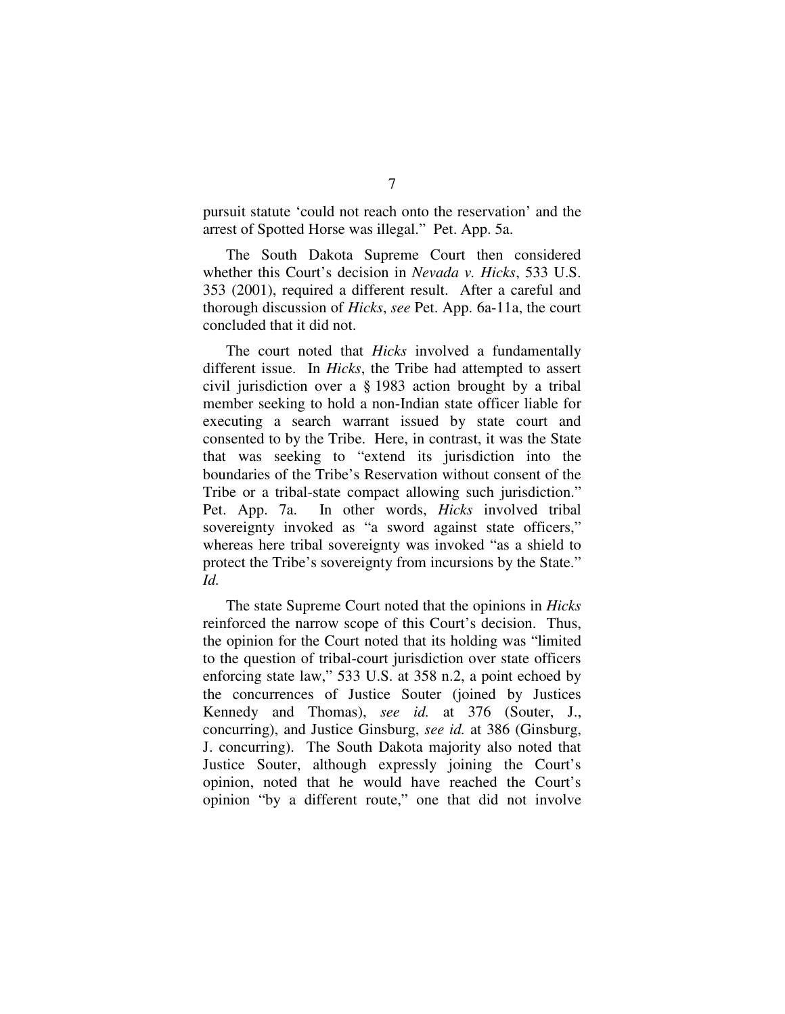pursuit statute 'could not reach onto the reservation' and the arrest of Spotted Horse was illegal." Pet. App. 5a.

The South Dakota Supreme Court then considered whether this Court's decision in *Nevada v. Hicks*, 533 U.S. 353 (2001), required a different result. After a careful and thorough discussion of *Hicks*, *see* Pet. App. 6a-11a, the court concluded that it did not.

The court noted that *Hicks* involved a fundamentally different issue. In *Hicks*, the Tribe had attempted to assert civil jurisdiction over a § 1983 action brought by a tribal member seeking to hold a non-Indian state officer liable for executing a search warrant issued by state court and consented to by the Tribe. Here, in contrast, it was the State that was seeking to "extend its jurisdiction into the boundaries of the Tribe's Reservation without consent of the Tribe or a tribal-state compact allowing such jurisdiction." Pet. App. 7a. In other words, *Hicks* involved tribal sovereignty invoked as "a sword against state officers," whereas here tribal sovereignty was invoked "as a shield to protect the Tribe's sovereignty from incursions by the State." *Id.*

The state Supreme Court noted that the opinions in *Hicks* reinforced the narrow scope of this Court's decision. Thus, the opinion for the Court noted that its holding was "limited to the question of tribal-court jurisdiction over state officers enforcing state law," 533 U.S. at 358 n.2, a point echoed by the concurrences of Justice Souter (joined by Justices Kennedy and Thomas), *see id.* at 376 (Souter, J., concurring), and Justice Ginsburg, *see id.* at 386 (Ginsburg, J. concurring). The South Dakota majority also noted that Justice Souter, although expressly joining the Court's opinion, noted that he would have reached the Court's opinion "by a different route," one that did not involve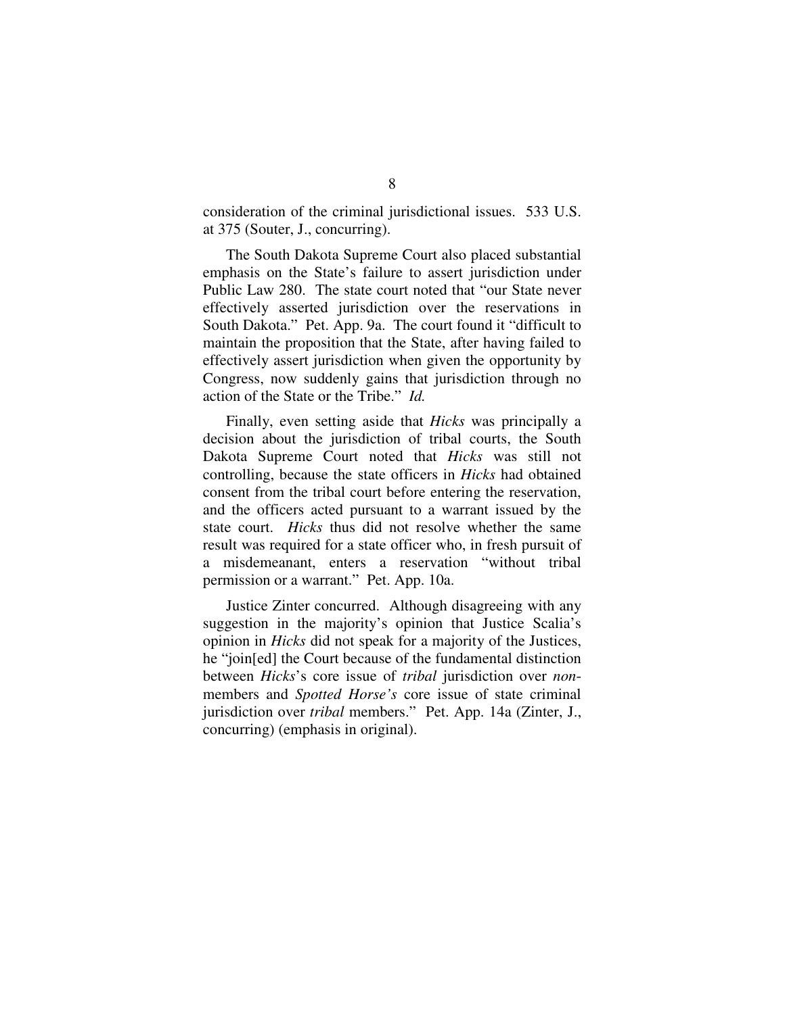consideration of the criminal jurisdictional issues. 533 U.S. at 375 (Souter, J., concurring).

The South Dakota Supreme Court also placed substantial emphasis on the State's failure to assert jurisdiction under Public Law 280. The state court noted that "our State never effectively asserted jurisdiction over the reservations in South Dakota." Pet. App. 9a. The court found it "difficult to maintain the proposition that the State, after having failed to effectively assert jurisdiction when given the opportunity by Congress, now suddenly gains that jurisdiction through no action of the State or the Tribe." *Id.*

Finally, even setting aside that *Hicks* was principally a decision about the jurisdiction of tribal courts, the South Dakota Supreme Court noted that *Hicks* was still not controlling, because the state officers in *Hicks* had obtained consent from the tribal court before entering the reservation, and the officers acted pursuant to a warrant issued by the state court. *Hicks* thus did not resolve whether the same result was required for a state officer who, in fresh pursuit of a misdemeanant, enters a reservation "without tribal permission or a warrant." Pet. App. 10a.

Justice Zinter concurred. Although disagreeing with any suggestion in the majority's opinion that Justice Scalia's opinion in *Hicks* did not speak for a majority of the Justices, he "join[ed] the Court because of the fundamental distinction between *Hicks*'s core issue of *tribal* jurisdiction over *non*members and *Spotted Horse's* core issue of state criminal jurisdiction over *tribal* members." Pet. App. 14a (Zinter, J., concurring) (emphasis in original).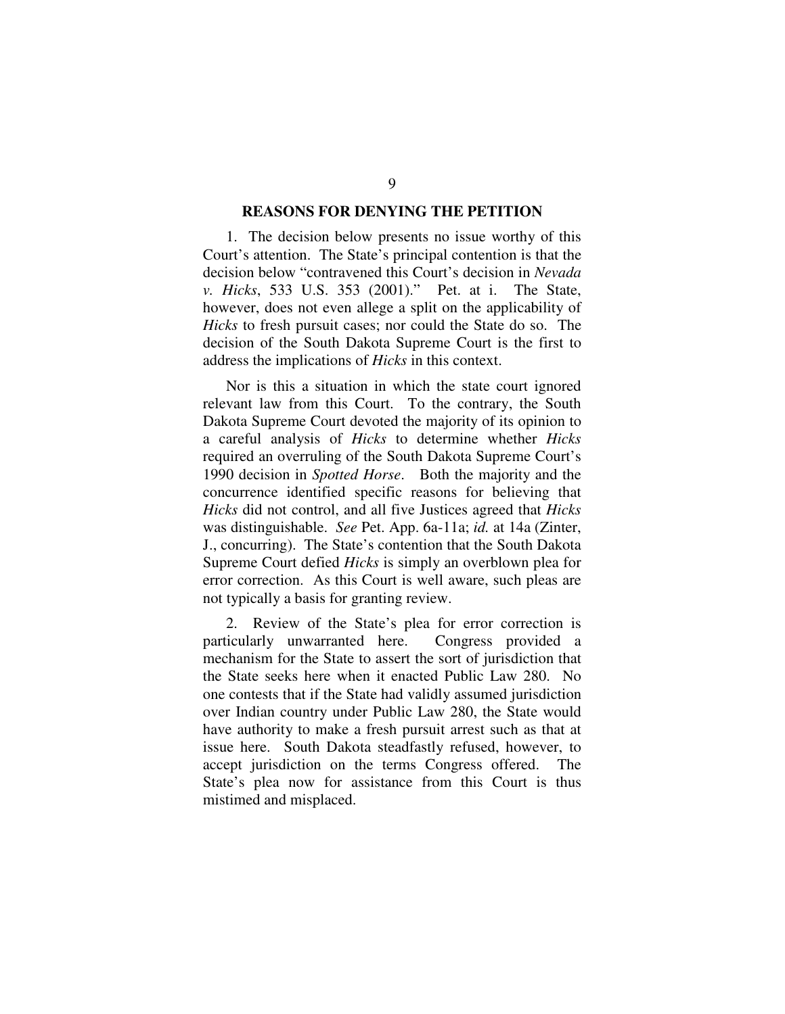### **REASONS FOR DENYING THE PETITION**

1. The decision below presents no issue worthy of this Court's attention. The State's principal contention is that the decision below "contravened this Court's decision in *Nevada v. Hicks*, 533 U.S. 353 (2001)." Pet. at i. The State, however, does not even allege a split on the applicability of *Hicks* to fresh pursuit cases; nor could the State do so. The decision of the South Dakota Supreme Court is the first to address the implications of *Hicks* in this context.

Nor is this a situation in which the state court ignored relevant law from this Court. To the contrary, the South Dakota Supreme Court devoted the majority of its opinion to a careful analysis of *Hicks* to determine whether *Hicks* required an overruling of the South Dakota Supreme Court's 1990 decision in *Spotted Horse*. Both the majority and the concurrence identified specific reasons for believing that *Hicks* did not control, and all five Justices agreed that *Hicks* was distinguishable. *See* Pet. App. 6a-11a; *id.* at 14a (Zinter, J., concurring). The State's contention that the South Dakota Supreme Court defied *Hicks* is simply an overblown plea for error correction. As this Court is well aware, such pleas are not typically a basis for granting review.

2. Review of the State's plea for error correction is particularly unwarranted here. Congress provided a mechanism for the State to assert the sort of jurisdiction that the State seeks here when it enacted Public Law 280. No one contests that if the State had validly assumed jurisdiction over Indian country under Public Law 280, the State would have authority to make a fresh pursuit arrest such as that at issue here. South Dakota steadfastly refused, however, to accept jurisdiction on the terms Congress offered. The State's plea now for assistance from this Court is thus mistimed and misplaced.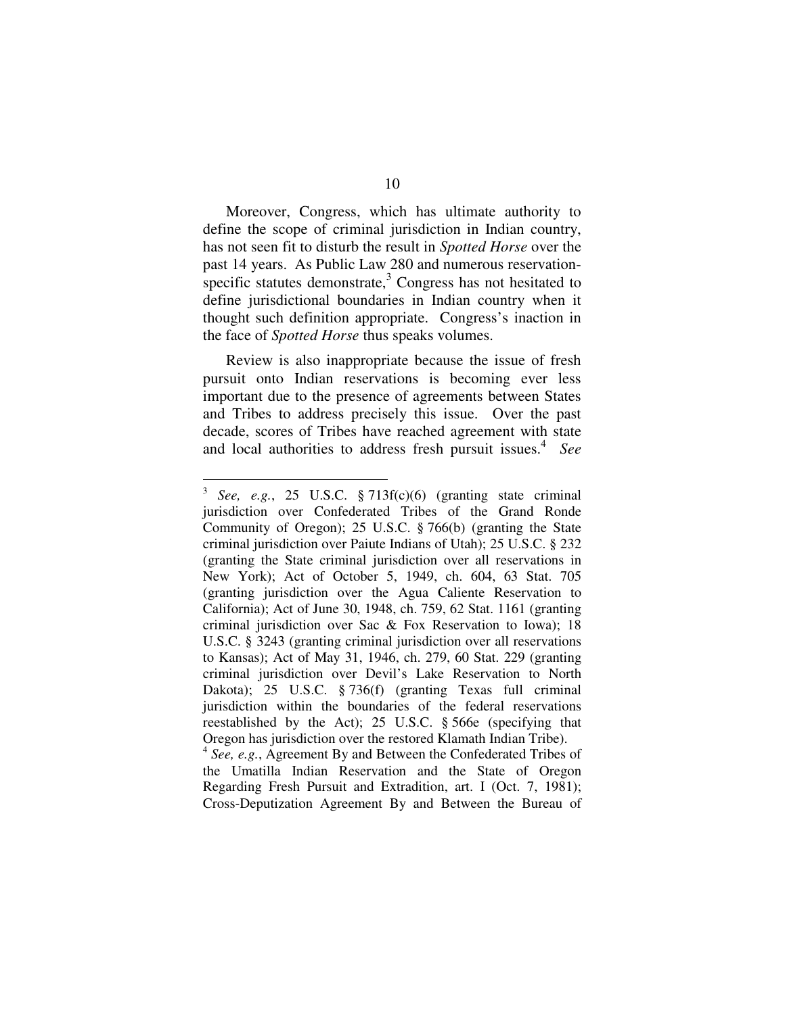Moreover, Congress, which has ultimate authority to define the scope of criminal jurisdiction in Indian country, has not seen fit to disturb the result in *Spotted Horse* over the past 14 years. As Public Law 280 and numerous reservationspecific statutes demonstrate,<sup>3</sup> Congress has not hesitated to define jurisdictional boundaries in Indian country when it thought such definition appropriate. Congress's inaction in the face of *Spotted Horse* thus speaks volumes.

Review is also inappropriate because the issue of fresh pursuit onto Indian reservations is becoming ever less important due to the presence of agreements between States and Tribes to address precisely this issue. Over the past decade, scores of Tribes have reached agreement with state and local authorities to address fresh pursuit issues. 4 *See*

<sup>3</sup> *See, e.g.*, 25 U.S.C. § 713f(c)(6) (granting state criminal jurisdiction over Confederated Tribes of the Grand Ronde Community of Oregon); 25 U.S.C. § 766(b) (granting the State criminal jurisdiction over Paiute Indians of Utah); 25 U.S.C. § 232 (granting the State criminal jurisdiction over all reservations in New York); Act of October 5, 1949, ch. 604, 63 Stat. 705 (granting jurisdiction over the Agua Caliente Reservation to California); Act of June 30, 1948, ch. 759, 62 Stat. 1161 (granting criminal jurisdiction over Sac & Fox Reservation to Iowa); 18 U.S.C. § 3243 (granting criminal jurisdiction over all reservations to Kansas); Act of May 31, 1946, ch. 279, 60 Stat. 229 (granting criminal jurisdiction over Devil's Lake Reservation to North Dakota); 25 U.S.C. § 736(f) (granting Texas full criminal jurisdiction within the boundaries of the federal reservations reestablished by the Act); 25 U.S.C. § 566e (specifying that Oregon has jurisdiction over the restored Klamath Indian Tribe).

<sup>4</sup> *See, e.g.*, Agreement By and Between the Confederated Tribes of the Umatilla Indian Reservation and the State of Oregon Regarding Fresh Pursuit and Extradition, art. I (Oct. 7, 1981); Cross-Deputization Agreement By and Between the Bureau of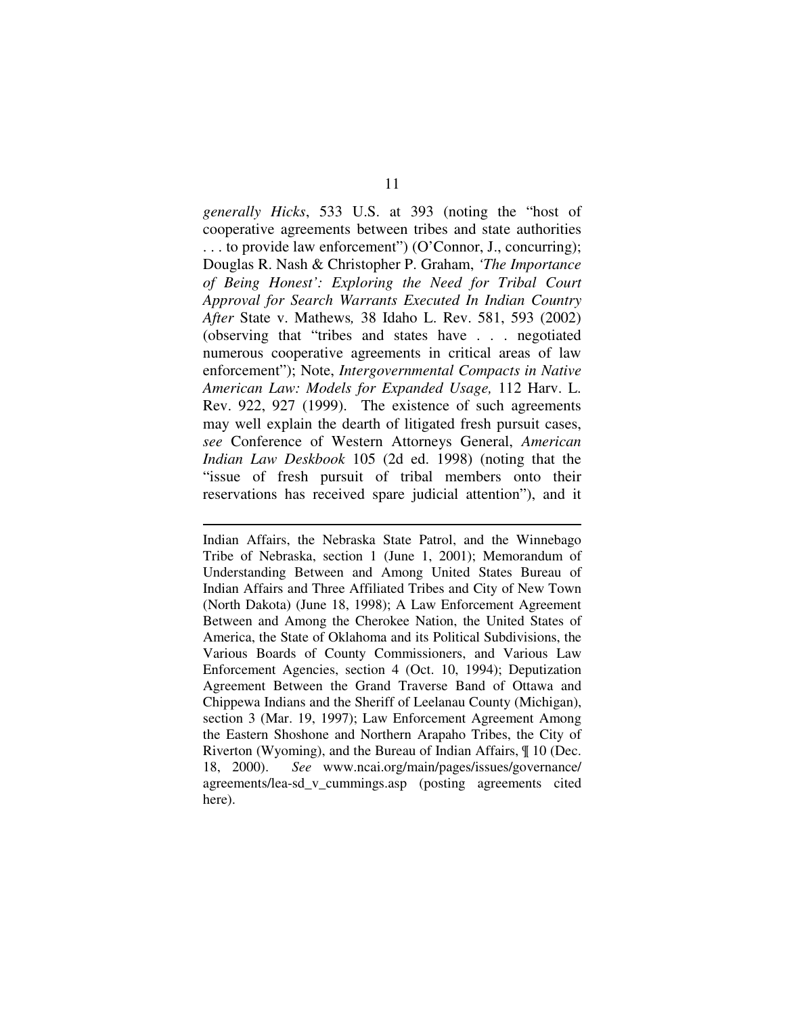*generally Hicks*, 533 U.S. at 393 (noting the "host of cooperative agreements between tribes and state authorities . . . to provide law enforcement") (O'Connor, J., concurring); Douglas R. Nash & Christopher P. Graham, *'The Importance of Being Honest': Exploring the Need for Tribal Court Approval for Search Warrants Executed In Indian Country After* State v. Mathews*,* 38 Idaho L. Rev. 581, 593 (2002) (observing that "tribes and states have . . . negotiated numerous cooperative agreements in critical areas of law enforcement"); Note, *Intergovernmental Compacts in Native American Law: Models for Expanded Usage,* 112 Harv. L. Rev. 922, 927 (1999). The existence of such agreements may well explain the dearth of litigated fresh pursuit cases, *see* Conference of Western Attorneys General, *American Indian Law Deskbook* 105 (2d ed. 1998) (noting that the "issue of fresh pursuit of tribal members onto their reservations has received spare judicial attention"), and it

Indian Affairs, the Nebraska State Patrol, and the Winnebago Tribe of Nebraska, section 1 (June 1, 2001); Memorandum of Understanding Between and Among United States Bureau of Indian Affairs and Three Affiliated Tribes and City of New Town (North Dakota) (June 18, 1998); A Law Enforcement Agreement Between and Among the Cherokee Nation, the United States of America, the State of Oklahoma and its Political Subdivisions, the Various Boards of County Commissioners, and Various Law Enforcement Agencies, section 4 (Oct. 10, 1994); Deputization Agreement Between the Grand Traverse Band of Ottawa and Chippewa Indians and the Sheriff of Leelanau County (Michigan), section 3 (Mar. 19, 1997); Law Enforcement Agreement Among the Eastern Shoshone and Northern Arapaho Tribes, the City of Riverton (Wyoming), and the Bureau of Indian Affairs, ¶ 10 (Dec. 18, 2000). *See* www.ncai.org/main/pages/issues/governance/ agreements/lea-sd\_v\_cummings.asp (posting agreements cited here).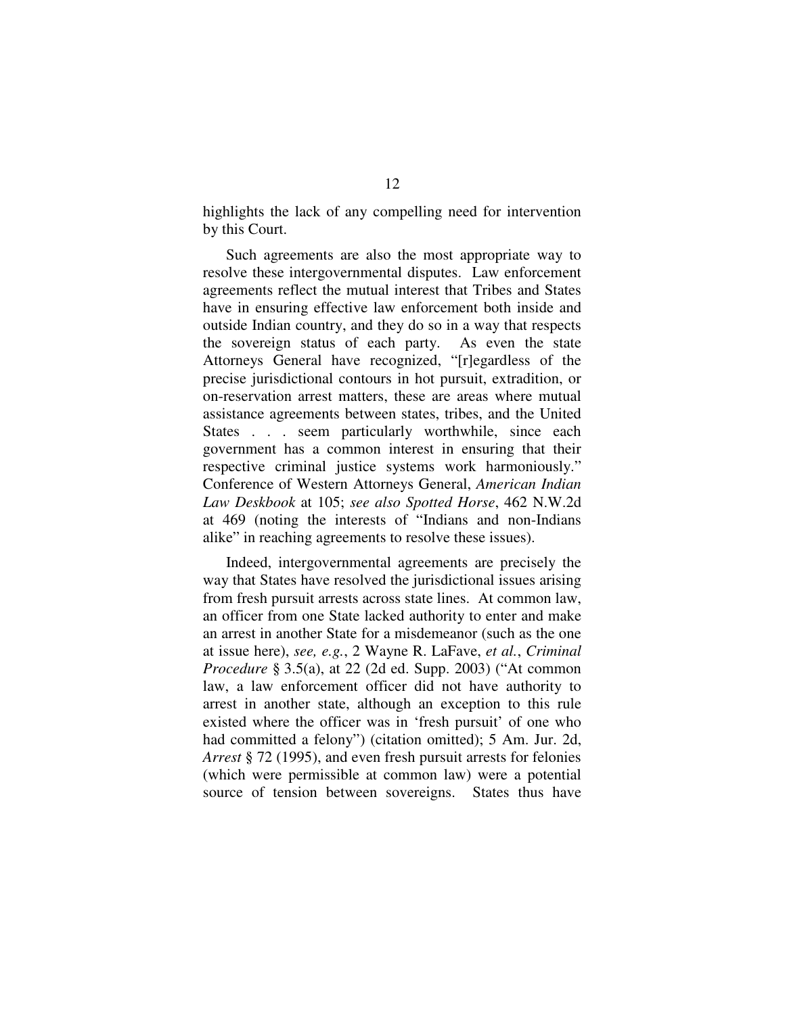highlights the lack of any compelling need for intervention by this Court.

Such agreements are also the most appropriate way to resolve these intergovernmental disputes. Law enforcement agreements reflect the mutual interest that Tribes and States have in ensuring effective law enforcement both inside and outside Indian country, and they do so in a way that respects the sovereign status of each party. As even the state Attorneys General have recognized, "[r]egardless of the precise jurisdictional contours in hot pursuit, extradition, or on-reservation arrest matters, these are areas where mutual assistance agreements between states, tribes, and the United States . . . seem particularly worthwhile, since each government has a common interest in ensuring that their respective criminal justice systems work harmoniously." Conference of Western Attorneys General, *American Indian Law Deskbook* at 105; *see also Spotted Horse*, 462 N.W.2d at 469 (noting the interests of "Indians and non-Indians alike" in reaching agreements to resolve these issues).

Indeed, intergovernmental agreements are precisely the way that States have resolved the jurisdictional issues arising from fresh pursuit arrests across state lines. At common law, an officer from one State lacked authority to enter and make an arrest in another State for a misdemeanor (such as the one at issue here), *see, e.g.*, 2 Wayne R. LaFave, *et al.*, *Criminal Procedure* § 3.5(a), at 22 (2d ed. Supp. 2003) ("At common law, a law enforcement officer did not have authority to arrest in another state, although an exception to this rule existed where the officer was in 'fresh pursuit' of one who had committed a felony") (citation omitted); 5 Am. Jur. 2d, *Arrest* § 72 (1995), and even fresh pursuit arrests for felonies (which were permissible at common law) were a potential source of tension between sovereigns. States thus have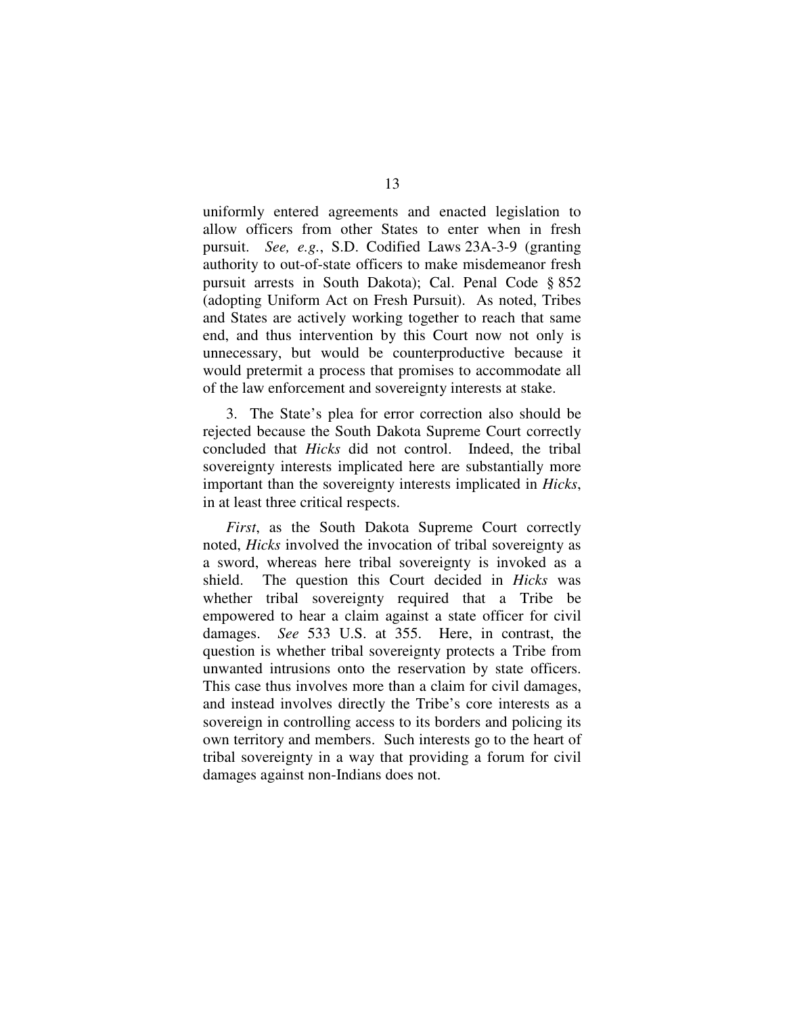uniformly entered agreements and enacted legislation to allow officers from other States to enter when in fresh pursuit. *See, e.g.*, S.D. Codified Laws 23A-3-9 (granting authority to out-of-state officers to make misdemeanor fresh pursuit arrests in South Dakota); Cal. Penal Code § 852 (adopting Uniform Act on Fresh Pursuit). As noted, Tribes and States are actively working together to reach that same end, and thus intervention by this Court now not only is unnecessary, but would be counterproductive because it would pretermit a process that promises to accommodate all of the law enforcement and sovereignty interests at stake.

3. The State's plea for error correction also should be rejected because the South Dakota Supreme Court correctly concluded that *Hicks* did not control. Indeed, the tribal sovereignty interests implicated here are substantially more important than the sovereignty interests implicated in *Hicks*, in at least three critical respects.

*First*, as the South Dakota Supreme Court correctly noted, *Hicks* involved the invocation of tribal sovereignty as a sword, whereas here tribal sovereignty is invoked as a shield. The question this Court decided in *Hicks* was whether tribal sovereignty required that a Tribe be empowered to hear a claim against a state officer for civil damages. *See* 533 U.S. at 355. Here, in contrast, the question is whether tribal sovereignty protects a Tribe from unwanted intrusions onto the reservation by state officers. This case thus involves more than a claim for civil damages, and instead involves directly the Tribe's core interests as a sovereign in controlling access to its borders and policing its own territory and members. Such interests go to the heart of tribal sovereignty in a way that providing a forum for civil damages against non-Indians does not.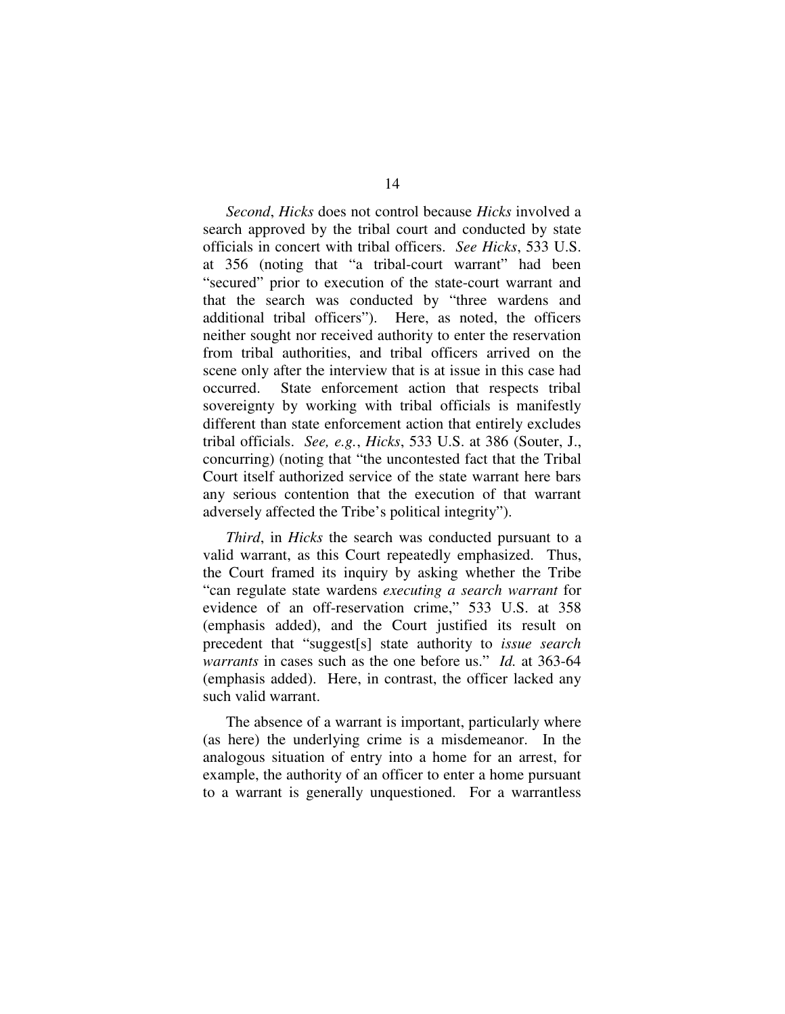*Second*, *Hicks* does not control because *Hicks* involved a search approved by the tribal court and conducted by state officials in concert with tribal officers. *See Hicks*, 533 U.S. at 356 (noting that "a tribal-court warrant" had been "secured" prior to execution of the state-court warrant and that the search was conducted by "three wardens and additional tribal officers"). Here, as noted, the officers neither sought nor received authority to enter the reservation from tribal authorities, and tribal officers arrived on the scene only after the interview that is at issue in this case had occurred. State enforcement action that respects tribal sovereignty by working with tribal officials is manifestly different than state enforcement action that entirely excludes tribal officials. *See, e.g.*, *Hicks*, 533 U.S. at 386 (Souter, J., concurring) (noting that "the uncontested fact that the Tribal Court itself authorized service of the state warrant here bars any serious contention that the execution of that warrant adversely affected the Tribe's political integrity").

*Third*, in *Hicks* the search was conducted pursuant to a valid warrant, as this Court repeatedly emphasized. Thus, the Court framed its inquiry by asking whether the Tribe "can regulate state wardens *executing a search warrant* for evidence of an off-reservation crime," 533 U.S. at 358 (emphasis added), and the Court justified its result on precedent that "suggest[s] state authority to *issue search warrants* in cases such as the one before us." *Id.* at 363-64 (emphasis added). Here, in contrast, the officer lacked any such valid warrant.

The absence of a warrant is important, particularly where (as here) the underlying crime is a misdemeanor. In the analogous situation of entry into a home for an arrest, for example, the authority of an officer to enter a home pursuant to a warrant is generally unquestioned. For a warrantless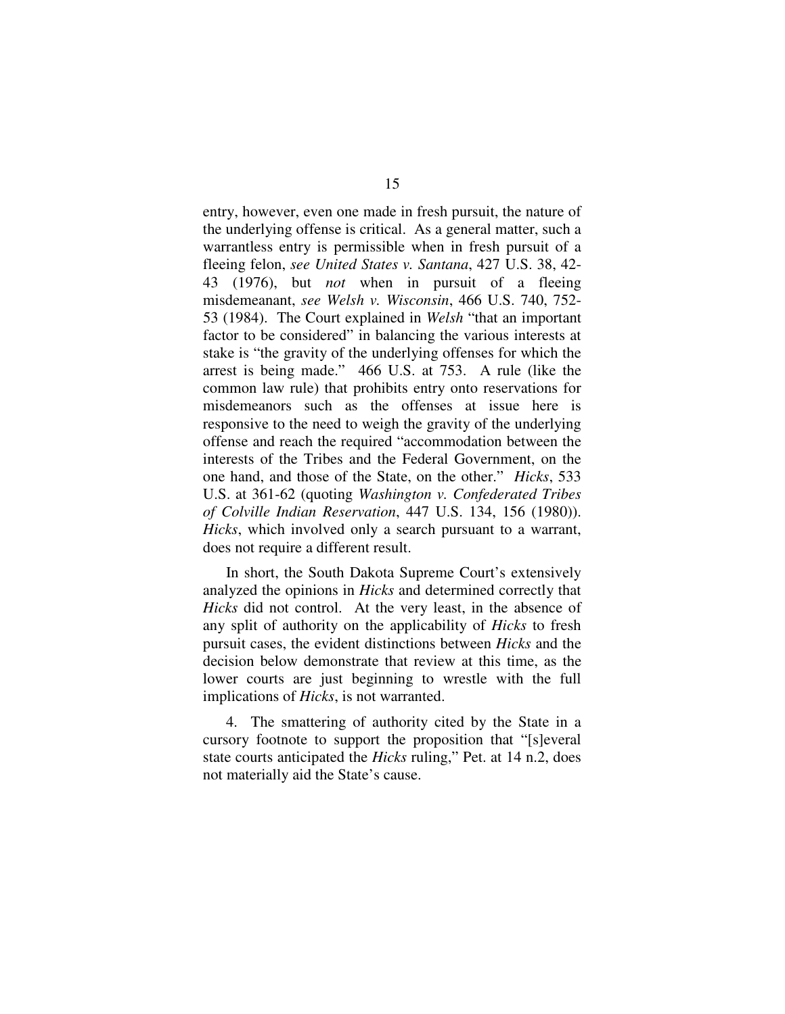entry, however, even one made in fresh pursuit, the nature of the underlying offense is critical. As a general matter, such a warrantless entry is permissible when in fresh pursuit of a fleeing felon, *see United States v. Santana*, 427 U.S. 38, 42- 43 (1976), but *not* when in pursuit of a fleeing misdemeanant, *see Welsh v. Wisconsin*, 466 U.S. 740, 752- 53 (1984). The Court explained in *Welsh* "that an important factor to be considered" in balancing the various interests at stake is "the gravity of the underlying offenses for which the arrest is being made." 466 U.S. at 753. A rule (like the common law rule) that prohibits entry onto reservations for misdemeanors such as the offenses at issue here is responsive to the need to weigh the gravity of the underlying offense and reach the required "accommodation between the interests of the Tribes and the Federal Government, on the one hand, and those of the State, on the other." *Hicks*, 533 U.S. at 361-62 (quoting *Washington v. Confederated Tribes of Colville Indian Reservation*, 447 U.S. 134, 156 (1980)). *Hicks*, which involved only a search pursuant to a warrant, does not require a different result.

In short, the South Dakota Supreme Court's extensively analyzed the opinions in *Hicks* and determined correctly that *Hicks* did not control. At the very least, in the absence of any split of authority on the applicability of *Hicks* to fresh pursuit cases, the evident distinctions between *Hicks* and the decision below demonstrate that review at this time, as the lower courts are just beginning to wrestle with the full implications of *Hicks*, is not warranted.

4. The smattering of authority cited by the State in a cursory footnote to support the proposition that "[s]everal state courts anticipated the *Hicks* ruling," Pet. at 14 n.2, does not materially aid the State's cause.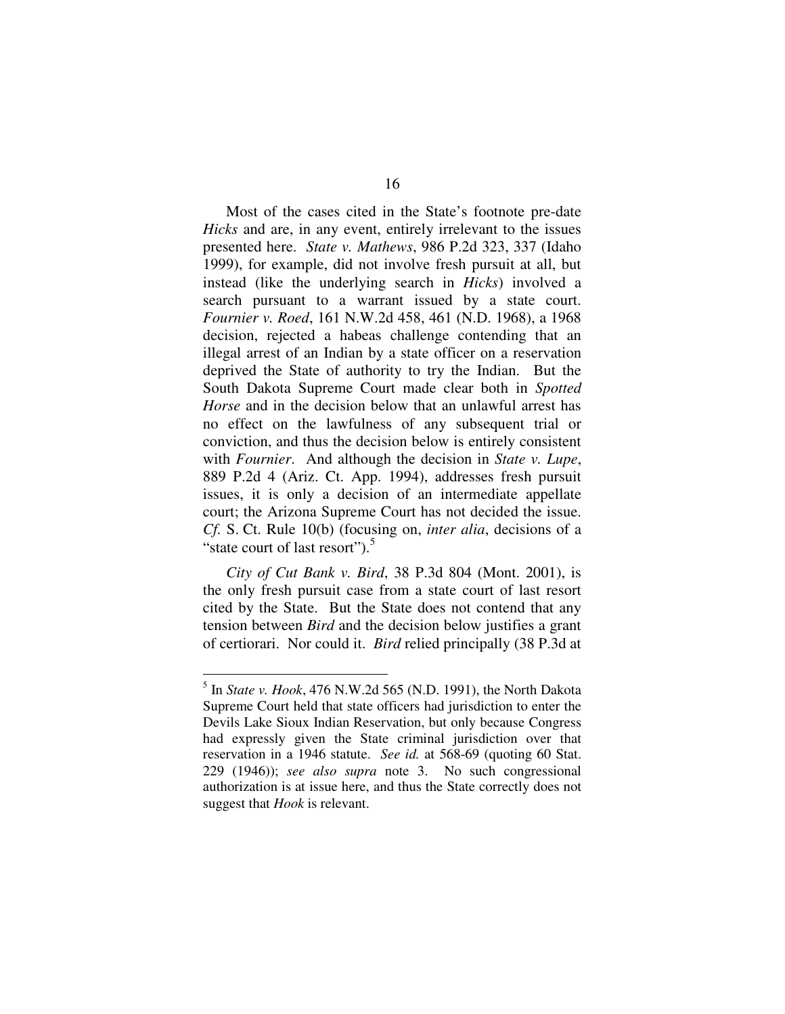Most of the cases cited in the State's footnote pre-date *Hicks* and are, in any event, entirely irrelevant to the issues presented here. *State v. Mathews*, 986 P.2d 323, 337 (Idaho 1999), for example, did not involve fresh pursuit at all, but instead (like the underlying search in *Hicks*) involved a search pursuant to a warrant issued by a state court. *Fournier v. Roed*, 161 N.W.2d 458, 461 (N.D. 1968), a 1968 decision, rejected a habeas challenge contending that an illegal arrest of an Indian by a state officer on a reservation deprived the State of authority to try the Indian. But the South Dakota Supreme Court made clear both in *Spotted Horse* and in the decision below that an unlawful arrest has no effect on the lawfulness of any subsequent trial or conviction, and thus the decision below is entirely consistent with *Fournier*. And although the decision in *State v. Lupe*, 889 P.2d 4 (Ariz. Ct. App. 1994), addresses fresh pursuit issues, it is only a decision of an intermediate appellate court; the Arizona Supreme Court has not decided the issue. *Cf.* S. Ct. Rule 10(b) (focusing on, *inter alia*, decisions of a "state court of last resort").<sup>5</sup>

*City of Cut Bank v. Bird*, 38 P.3d 804 (Mont. 2001), is the only fresh pursuit case from a state court of last resort cited by the State. But the State does not contend that any tension between *Bird* and the decision below justifies a grant of certiorari. Nor could it. *Bird* relied principally (38 P.3d at

<sup>5</sup> In *State v. Hook*, 476 N.W.2d 565 (N.D. 1991), the North Dakota Supreme Court held that state officers had jurisdiction to enter the Devils Lake Sioux Indian Reservation, but only because Congress had expressly given the State criminal jurisdiction over that reservation in a 1946 statute. *See id.* at 568-69 (quoting 60 Stat. 229 (1946)); *see also supra* note 3. No such congressional authorization is at issue here, and thus the State correctly does not suggest that *Hook* is relevant.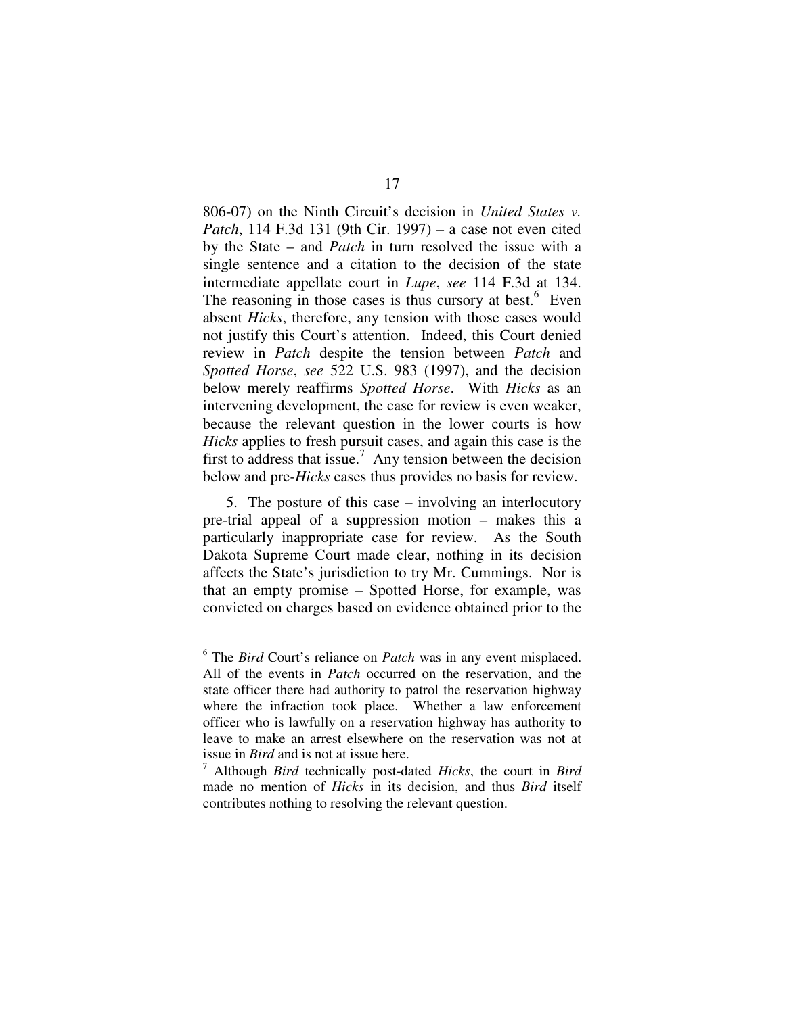806-07) on the Ninth Circuit's decision in *United States v. Patch*, 114 F.3d 131 (9th Cir. 1997) – a case not even cited by the State – and *Patch* in turn resolved the issue with a single sentence and a citation to the decision of the state intermediate appellate court in *Lupe*, *see* 114 F.3d at 134. The reasoning in those cases is thus cursory at best.<sup>6</sup> Even absent *Hicks*, therefore, any tension with those cases would not justify this Court's attention. Indeed, this Court denied review in *Patch* despite the tension between *Patch* and *Spotted Horse*, *see* 522 U.S. 983 (1997), and the decision below merely reaffirms *Spotted Horse*. With *Hicks* as an intervening development, the case for review is even weaker, because the relevant question in the lower courts is how *Hicks* applies to fresh pursuit cases, and again this case is the first to address that issue.<sup>7</sup> Any tension between the decision below and pre-*Hicks* cases thus provides no basis for review.

5. The posture of this case – involving an interlocutory pre-trial appeal of a suppression motion – makes this a particularly inappropriate case for review. As the South Dakota Supreme Court made clear, nothing in its decision affects the State's jurisdiction to try Mr. Cummings. Nor is that an empty promise – Spotted Horse, for example, was convicted on charges based on evidence obtained prior to the

<sup>6</sup> The *Bird* Court's reliance on *Patch* was in any event misplaced. All of the events in *Patch* occurred on the reservation, and the state officer there had authority to patrol the reservation highway where the infraction took place. Whether a law enforcement officer who is lawfully on a reservation highway has authority to leave to make an arrest elsewhere on the reservation was not at issue in *Bird* and is not at issue here.

<sup>7</sup> Although *Bird* technically post-dated *Hicks*, the court in *Bird* made no mention of *Hicks* in its decision, and thus *Bird* itself contributes nothing to resolving the relevant question.